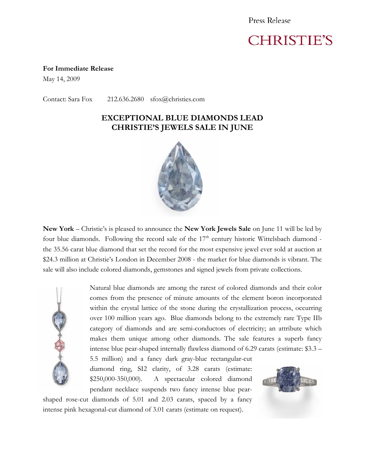Press Release

## **CHRISTIE'S**

**For Immediate Release** 

May 14, 2009

Contact: Sara Fox 212.636.2680 sfox@christies.com

## **EXCEPTIONAL BLUE DIAMONDS LEAD CHRISTIE'S JEWELS SALE IN JUNE**



**New York** – Christie's is pleased to announce the **New York Jewels Sale** on June 11 will be led by four blue diamonds. Following the record sale of the  $17<sup>th</sup>$  century historic Wittelsbach diamond the 35.56 carat blue diamond that set the record for the most expensive jewel ever sold at auction at \$24.3 million at Christie's London in December 2008 - the market for blue diamonds is vibrant. The sale will also include colored diamonds, gemstones and signed jewels from private collections.



Natural blue diamonds are among the rarest of colored diamonds and their color comes from the presence of minute amounts of the element boron incorporated within the crystal lattice of the stone during the crystallization process, occurring over 100 million years ago. Blue diamonds belong to the extremely rare Type IIb category of diamonds and are semi-conductors of electricity; an attribute which makes them unique among other diamonds. The sale features a superb fancy intense blue pear-shaped internally flawless diamond of 6.29 carats (estimate: \$3.3 –

5.5 million) and a fancy dark gray-blue rectangular-cut diamond ring, SI2 clarity, of 3.28 carats (estimate: \$250,000-350,000). A spectacular colored diamond pendant necklace suspends two fancy intense blue pear-

shaped rose-cut diamonds of 5.01 and 2.03 carats, spaced by a fancy intense pink hexagonal-cut diamond of 3.01 carats (estimate on request).